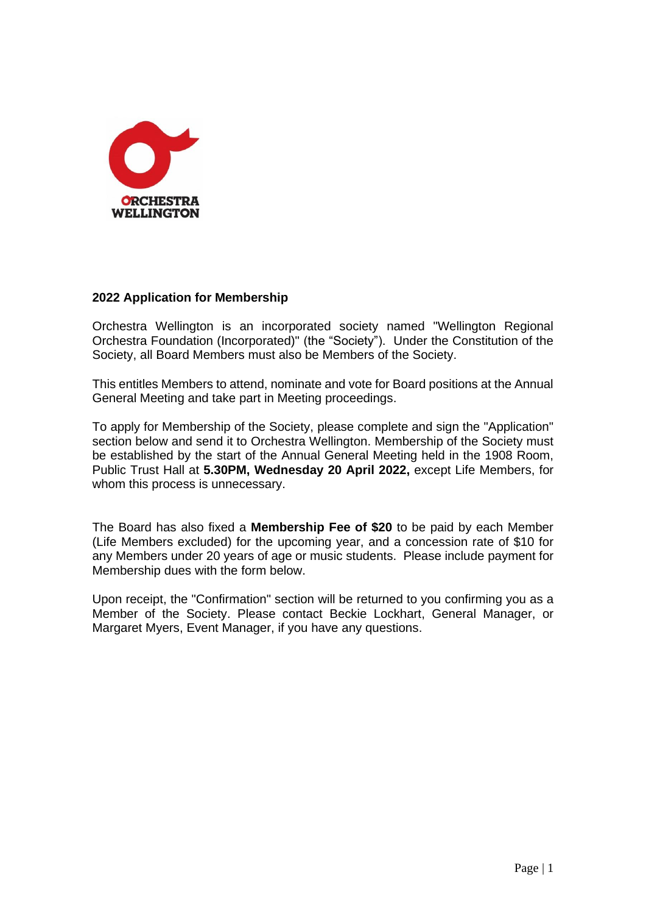

## **2022 Application for Membership**

Orchestra Wellington is an incorporated society named "Wellington Regional Orchestra Foundation (Incorporated)" (the "Society"). Under the Constitution of the Society, all Board Members must also be Members of the Society.

This entitles Members to attend, nominate and vote for Board positions at the Annual General Meeting and take part in Meeting proceedings.

To apply for Membership of the Society, please complete and sign the "Application" section below and send it to Orchestra Wellington. Membership of the Society must be established by the start of the Annual General Meeting held in the 1908 Room, Public Trust Hall at **5.30PM, Wednesday 20 April 2022,** except Life Members, for whom this process is unnecessary.

The Board has also fixed a **Membership Fee of \$20** to be paid by each Member (Life Members excluded) for the upcoming year, and a concession rate of \$10 for any Members under 20 years of age or music students. Please include payment for Membership dues with the form below.

Upon receipt, the "Confirmation" section will be returned to you confirming you as a Member of the Society. Please contact Beckie Lockhart, General Manager, or Margaret Myers, Event Manager, if you have any questions.